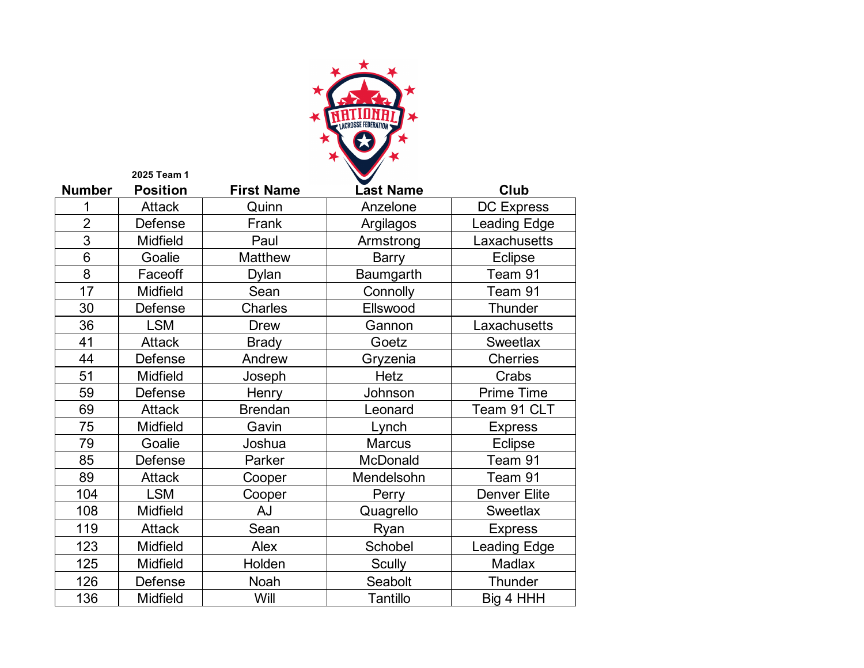

| <b>Number</b>  | <b>Position</b> | <b>First Name</b> | <b>Last Name</b> | Club                |
|----------------|-----------------|-------------------|------------------|---------------------|
| 1              | <b>Attack</b>   | Quinn             | Anzelone         | <b>DC Express</b>   |
| $\overline{2}$ | Defense         | Frank             | Argilagos        | <b>Leading Edge</b> |
| 3              | <b>Midfield</b> | Paul              | Armstrong        | Laxachusetts        |
| 6              | Goalie          | Matthew           | <b>Barry</b>     | <b>Eclipse</b>      |
| 8              | Faceoff         | Dylan             | Baumgarth        | Team 91             |
| 17             | <b>Midfield</b> | Sean              | Connolly         | Team 91             |
| 30             | Defense         | Charles           | Ellswood         | <b>Thunder</b>      |
| 36             | <b>LSM</b>      | <b>Drew</b>       | Gannon           | Laxachusetts        |
| 41             | <b>Attack</b>   | <b>Brady</b>      | Goetz            | Sweetlax            |
| 44             | Defense         | Andrew            | Gryzenia         | <b>Cherries</b>     |
| 51             | <b>Midfield</b> | Joseph            | <b>Hetz</b>      | Crabs               |
| 59             | Defense         | Henry             | Johnson          | <b>Prime Time</b>   |
| 69             | <b>Attack</b>   | <b>Brendan</b>    | Leonard          | Team 91 CLT         |
| 75             | Midfield        | Gavin             | Lynch            | <b>Express</b>      |
| 79             | Goalie          | Joshua            | <b>Marcus</b>    | <b>Eclipse</b>      |
| 85             | Defense         | Parker            | McDonald         | Team 91             |
| 89             | <b>Attack</b>   | Cooper            | Mendelsohn       | Team 91             |
| 104            | <b>LSM</b>      | Cooper            | Perry            | Denver Elite        |
| 108            | Midfield        | AJ                | Quagrello        | <b>Sweetlax</b>     |
| 119            | <b>Attack</b>   | Sean              | Ryan             | <b>Express</b>      |
| 123            | Midfield        | Alex              | Schobel          | <b>Leading Edge</b> |
| 125            | Midfield        | Holden            | <b>Scully</b>    | Madlax              |
| 126            | Defense         | Noah              | Seabolt          | <b>Thunder</b>      |
| 136            | <b>Midfield</b> | Will              | Tantillo         | Big 4 HHH           |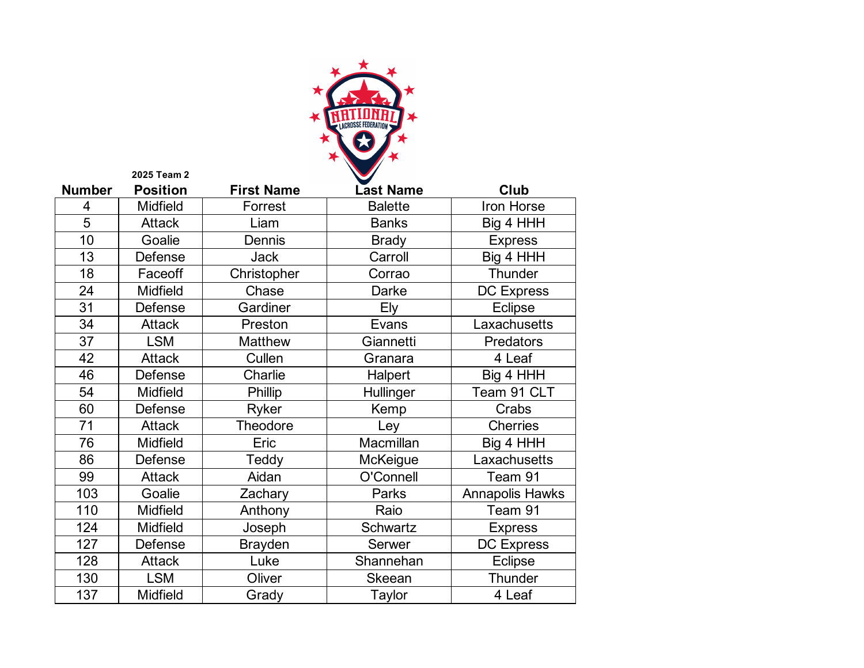

| <b>Number</b>  | <b>Position</b> | <b>First Name</b> | <b>Last Name</b> | Club                   |
|----------------|-----------------|-------------------|------------------|------------------------|
| $\overline{4}$ | Midfield        | Forrest           | <b>Balette</b>   | Iron Horse             |
| 5              | <b>Attack</b>   | Liam              | <b>Banks</b>     | Big 4 HHH              |
| 10             | Goalie          | Dennis            | <b>Brady</b>     | <b>Express</b>         |
| 13             | Defense         | <b>Jack</b>       | Carroll          | Big 4 HHH              |
| 18             | Faceoff         | Christopher       | Corrao           | Thunder                |
| 24             | <b>Midfield</b> | Chase             | Darke            | <b>DC Express</b>      |
| 31             | Defense         | Gardiner          | Ely              | <b>Eclipse</b>         |
| 34             | <b>Attack</b>   | Preston           | Evans            | Laxachusetts           |
| 37             | <b>LSM</b>      | Matthew           | Giannetti        | Predators              |
| 42             | <b>Attack</b>   | Cullen            | Granara          | 4 Leaf                 |
| 46             | Defense         | Charlie           | Halpert          | Big 4 HHH              |
| 54             | Midfield        | Phillip           | Hullinger        | Team 91 CLT            |
| 60             | Defense         | Ryker             | Kemp             | Crabs                  |
| 71             | <b>Attack</b>   | Theodore          | Ley              | <b>Cherries</b>        |
| 76             | Midfield        | Eric              | Macmillan        | Big 4 HHH              |
| 86             | Defense         | Teddy             | McKeigue         | Laxachusetts           |
| 99             | <b>Attack</b>   | Aidan             | O'Connell        | Team 91                |
| 103            | Goalie          | Zachary           | Parks            | <b>Annapolis Hawks</b> |
| 110            | Midfield        | Anthony           | Raio             | Team 91                |
| 124            | <b>Midfield</b> | Joseph            | <b>Schwartz</b>  | <b>Express</b>         |
| 127            | Defense         | <b>Brayden</b>    | Serwer           | <b>DC Express</b>      |
| 128            | <b>Attack</b>   | Luke              | Shannehan        | <b>Eclipse</b>         |
| 130            | <b>LSM</b>      | Oliver            | Skeean           | Thunder                |
| 137            | <b>Midfield</b> | Grady             | Taylor           | 4 Leaf                 |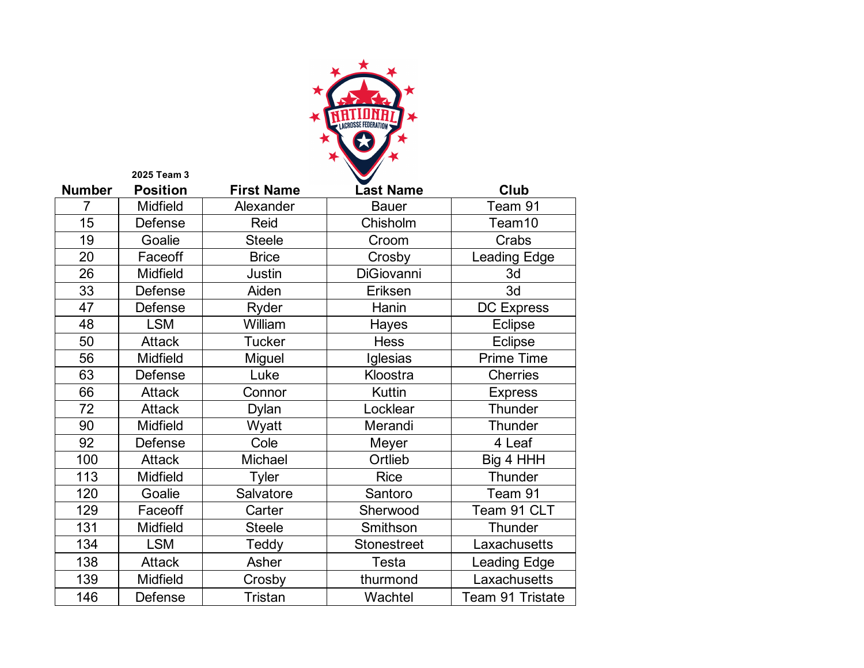

| <b>Number</b> | <b>Position</b> | <b>First Name</b> | <b>Last Name</b>   | Club                |
|---------------|-----------------|-------------------|--------------------|---------------------|
| 7             | <b>Midfield</b> | Alexander         | <b>Bauer</b>       | Team 91             |
| 15            | Defense         | Reid              | Chisholm           | Team10              |
| 19            | Goalie          | <b>Steele</b>     | Croom              | Crabs               |
| 20            | Faceoff         | <b>Brice</b>      | Crosby             | <b>Leading Edge</b> |
| 26            | <b>Midfield</b> | Justin            | <b>DiGiovanni</b>  | 3d                  |
| 33            | Defense         | Aiden             | Eriksen            | 3d                  |
| 47            | Defense         | Ryder             | Hanin              | <b>DC Express</b>   |
| 48            | <b>LSM</b>      | William           | Hayes              | Eclipse             |
| 50            | <b>Attack</b>   | <b>Tucker</b>     | <b>Hess</b>        | Eclipse             |
| 56            | Midfield        | Miguel            | Iglesias           | <b>Prime Time</b>   |
| 63            | Defense         | Luke              | Kloostra           | <b>Cherries</b>     |
| 66            | <b>Attack</b>   | Connor            | Kuttin             | <b>Express</b>      |
| 72            | <b>Attack</b>   | Dylan             | Locklear           | Thunder             |
| 90            | <b>Midfield</b> | Wyatt             | Merandi            | Thunder             |
| 92            | Defense         | Cole              | Meyer              | 4 Leaf              |
| 100           | <b>Attack</b>   | Michael           | Ortlieb            | Big 4 HHH           |
| 113           | <b>Midfield</b> | Tyler             | <b>Rice</b>        | Thunder             |
| 120           | Goalie          | Salvatore         | Santoro            | Team 91             |
| 129           | Faceoff         | Carter            | Sherwood           | Team 91 CLT         |
| 131           | <b>Midfield</b> | <b>Steele</b>     | Smithson           | Thunder             |
| 134           | <b>LSM</b>      | Teddy             | <b>Stonestreet</b> | Laxachusetts        |
| 138           | <b>Attack</b>   | Asher             | <b>Testa</b>       | Leading Edge        |
| 139           | Midfield        | Crosby            | thurmond           | Laxachusetts        |
| 146           | Defense         | <b>Tristan</b>    | Wachtel            | Team 91 Tristate    |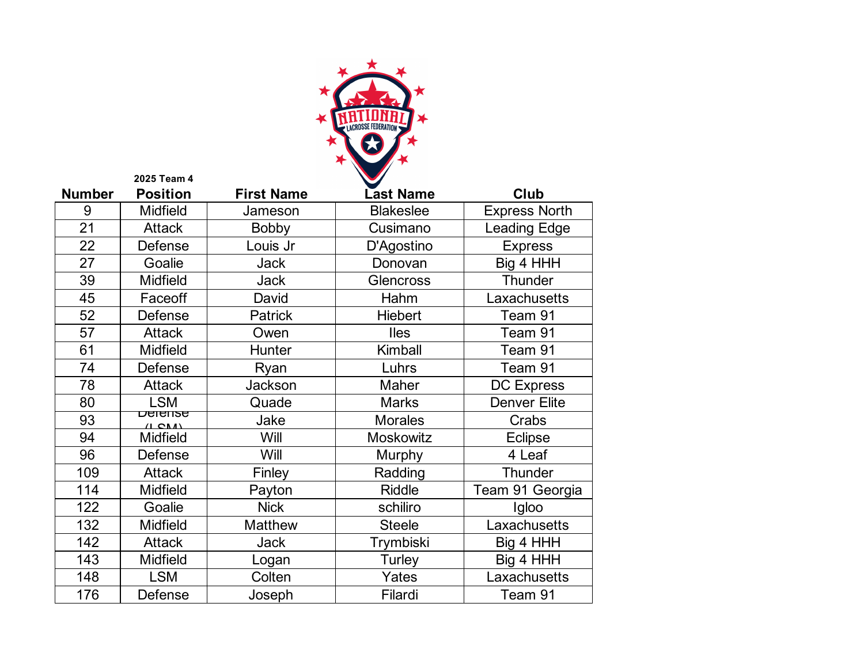

|               | 2025 Team 4                     |                   |                  |                      |
|---------------|---------------------------------|-------------------|------------------|----------------------|
| <b>Number</b> | <b>Position</b>                 | <b>First Name</b> | Last Name        | Club                 |
| 9             | <b>Midfield</b>                 | Jameson           | <b>Blakeslee</b> | <b>Express North</b> |
| 21            | <b>Attack</b>                   | <b>Bobby</b>      | Cusimano         | Leading Edge         |
| 22            | Defense                         | Louis Jr          | D'Agostino       | <b>Express</b>       |
| 27            | Goalie                          | <b>Jack</b>       | Donovan          | Big 4 HHH            |
| 39            | Midfield                        | <b>Jack</b>       | Glencross        | Thunder              |
| 45            | Faceoff                         | David             | Hahm             | Laxachusetts         |
| 52            | Defense                         | <b>Patrick</b>    | <b>Hiebert</b>   | Team 91              |
| 57            | <b>Attack</b>                   | Owen              | <b>Iles</b>      | Team 91              |
| 61            | Midfield                        | Hunter            | Kimball          | Team 91              |
| 74            | Defense                         | Ryan              | Luhrs            | Team 91              |
| 78            | <b>Attack</b>                   | Jackson           | Maher            | <b>DC Express</b>    |
| 80            | <b>LSM</b>                      | Quade             | <b>Marks</b>     | <b>Denver Elite</b>  |
| 93            | <u> Derense</u><br>$(1 \cap M)$ | Jake              | <b>Morales</b>   | Crabs                |
| 94            | Midfield                        | Will              | Moskowitz        | Eclipse              |
| 96            | Defense                         | Will              | Murphy           | 4 Leaf               |
| 109           | <b>Attack</b>                   | Finley            | Radding          | <b>Thunder</b>       |
| 114           | <b>Midfield</b>                 | Payton            | <b>Riddle</b>    | Team 91 Georgia      |
| 122           | Goalie                          | <b>Nick</b>       | schiliro         | Igloo                |
| 132           | <b>Midfield</b>                 | Matthew           | <b>Steele</b>    | Laxachusetts         |
| 142           | <b>Attack</b>                   | <b>Jack</b>       | Trymbiski        | Big 4 HHH            |
| 143           | Midfield                        | Logan             | Turley           | Big 4 HHH            |
| 148           | <b>LSM</b>                      | Colten            | Yates            | Laxachusetts         |
| 176           | Defense                         | Joseph            | Filardi          | Team 91              |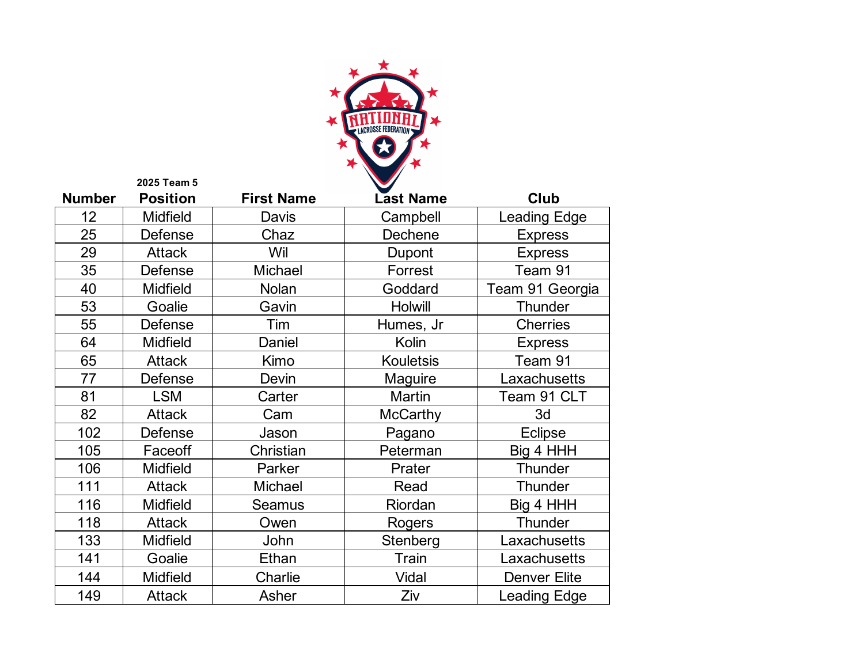

| <b>Number</b> | <b>Position</b> | <b>First Name</b> | <b>Last Name</b> | Club                |
|---------------|-----------------|-------------------|------------------|---------------------|
| 12            | <b>Midfield</b> | Davis             | Campbell         | <b>Leading Edge</b> |
| 25            | Defense         | Chaz              | Dechene          | <b>Express</b>      |
| 29            | <b>Attack</b>   | Wil               | Dupont           | <b>Express</b>      |
| 35            | Defense         | Michael           | Forrest          | Team 91             |
| 40            | <b>Midfield</b> | Nolan             | Goddard          | Team 91 Georgia     |
| 53            | Goalie          | Gavin             | <b>Holwill</b>   | <b>Thunder</b>      |
| 55            | Defense         | Tim               | Humes, Jr        | <b>Cherries</b>     |
| 64            | <b>Midfield</b> | Daniel            | Kolin            | <b>Express</b>      |
| 65            | <b>Attack</b>   | Kimo              | <b>Kouletsis</b> | Team 91             |
| 77            | Defense         | Devin             | Maguire          | Laxachusetts        |
| 81            | <b>LSM</b>      | Carter            | <b>Martin</b>    | Team 91 CLT         |
| 82            | <b>Attack</b>   | Cam               | <b>McCarthy</b>  | 3d                  |
| 102           | Defense         | Jason             | Pagano           | Eclipse             |
| 105           | Faceoff         | Christian         | Peterman         | Big 4 HHH           |
| 106           | <b>Midfield</b> | Parker            | Prater           | <b>Thunder</b>      |
| 111           | <b>Attack</b>   | Michael           | Read             | <b>Thunder</b>      |
| 116           | <b>Midfield</b> | Seamus            | Riordan          | Big 4 HHH           |
| 118           | <b>Attack</b>   | Owen              | Rogers           | Thunder             |
| 133           | <b>Midfield</b> | John              | Stenberg         | Laxachusetts        |
| 141           | Goalie          | Ethan             | <b>Train</b>     | Laxachusetts        |
| 144           | <b>Midfield</b> | Charlie           | Vidal            | <b>Denver Elite</b> |
| 149           | <b>Attack</b>   | Asher             | Ziv              | <b>Leading Edge</b> |